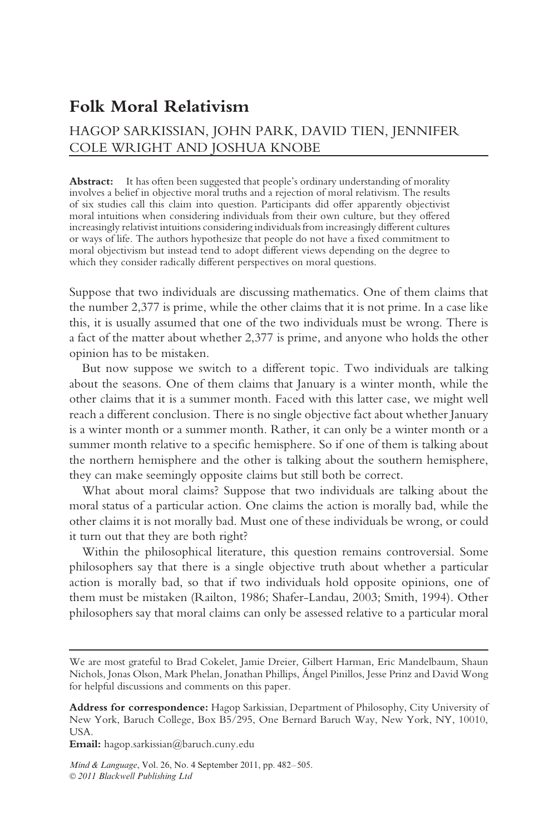# **Folk Moral Relativism**

## HAGOP SARKISSIAN, JOHN PARK, DAVID TIEN, JENNIFER COLE WRIGHT AND JOSHUA KNOBE

**Abstract:** It has often been suggested that people's ordinary understanding of morality involves a belief in objective moral truths and a rejection of moral relativism. The results of six studies call this claim into question. Participants did offer apparently objectivist moral intuitions when considering individuals from their own culture, but they offered increasingly relativist intuitions considering individuals from increasingly different cultures or ways of life. The authors hypothesize that people do not have a fixed commitment to moral objectivism but instead tend to adopt different views depending on the degree to which they consider radically different perspectives on moral questions.

Suppose that two individuals are discussing mathematics. One of them claims that the number 2,377 is prime, while the other claims that it is not prime. In a case like this, it is usually assumed that one of the two individuals must be wrong. There is a fact of the matter about whether 2,377 is prime, and anyone who holds the other opinion has to be mistaken.

But now suppose we switch to a different topic. Two individuals are talking about the seasons. One of them claims that January is a winter month, while the other claims that it is a summer month. Faced with this latter case, we might well reach a different conclusion. There is no single objective fact about whether January is a winter month or a summer month. Rather, it can only be a winter month or a summer month relative to a specific hemisphere. So if one of them is talking about the northern hemisphere and the other is talking about the southern hemisphere, they can make seemingly opposite claims but still both be correct.

What about moral claims? Suppose that two individuals are talking about the moral status of a particular action. One claims the action is morally bad, while the other claims it is not morally bad. Must one of these individuals be wrong, or could it turn out that they are both right?

Within the philosophical literature, this question remains controversial. Some philosophers say that there is a single objective truth about whether a particular action is morally bad, so that if two individuals hold opposite opinions, one of them must be mistaken (Railton, 1986; Shafer-Landau, 2003; Smith, 1994). Other philosophers say that moral claims can only be assessed relative to a particular moral

**Email:** hagop.sarkissian@baruch.cuny.edu

We are most grateful to Brad Cokelet, Jamie Dreier, Gilbert Harman, Eric Mandelbaum, Shaun Nichols, Jonas Olson, Mark Phelan, Jonathan Phillips, Angel Pinillos, Jesse Prinz and David Wong ´ for helpful discussions and comments on this paper.

**Address for correspondence:** Hagop Sarkissian, Department of Philosophy, City University of New York, Baruch College, Box B5/295, One Bernard Baruch Way, New York, NY, 10010, USA.

*Mind & Language*, Vol. 26, No. 4 September 2011, pp. 482–505. © *2011 Blackwell Publishing Ltd*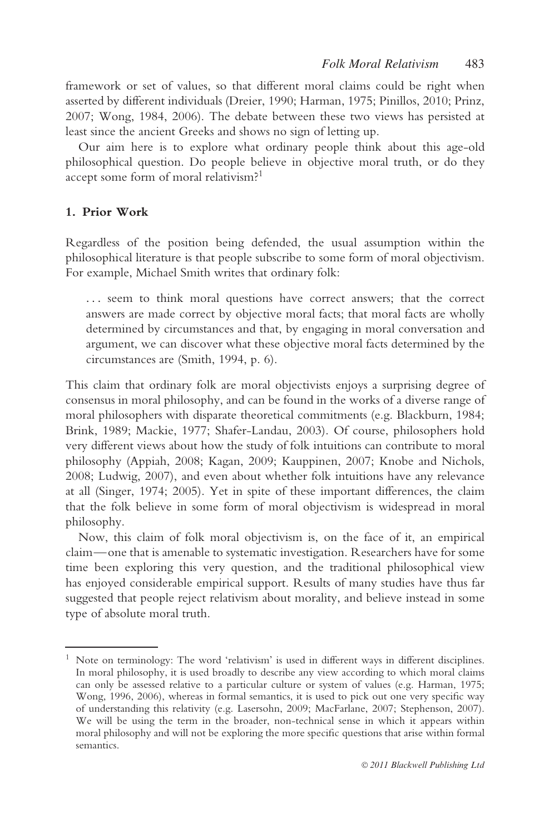framework or set of values, so that different moral claims could be right when asserted by different individuals (Dreier, 1990; Harman, 1975; Pinillos, 2010; Prinz, 2007; Wong, 1984, 2006). The debate between these two views has persisted at least since the ancient Greeks and shows no sign of letting up.

Our aim here is to explore what ordinary people think about this age-old philosophical question. Do people believe in objective moral truth, or do they accept some form of moral relativism?<sup>1</sup>

## **1. Prior Work**

Regardless of the position being defended, the usual assumption within the philosophical literature is that people subscribe to some form of moral objectivism. For example, Michael Smith writes that ordinary folk:

*...* seem to think moral questions have correct answers; that the correct answers are made correct by objective moral facts; that moral facts are wholly determined by circumstances and that, by engaging in moral conversation and argument, we can discover what these objective moral facts determined by the circumstances are (Smith, 1994, p. 6).

This claim that ordinary folk are moral objectivists enjoys a surprising degree of consensus in moral philosophy, and can be found in the works of a diverse range of moral philosophers with disparate theoretical commitments (e.g. Blackburn, 1984; Brink, 1989; Mackie, 1977; Shafer-Landau, 2003). Of course, philosophers hold very different views about how the study of folk intuitions can contribute to moral philosophy (Appiah, 2008; Kagan, 2009; Kauppinen, 2007; Knobe and Nichols, 2008; Ludwig, 2007), and even about whether folk intuitions have any relevance at all (Singer, 1974; 2005). Yet in spite of these important differences, the claim that the folk believe in some form of moral objectivism is widespread in moral philosophy.

Now, this claim of folk moral objectivism is, on the face of it, an empirical claim—one that is amenable to systematic investigation. Researchers have for some time been exploring this very question, and the traditional philosophical view has enjoyed considerable empirical support. Results of many studies have thus far suggested that people reject relativism about morality, and believe instead in some type of absolute moral truth.

 $<sup>1</sup>$  Note on terminology: The word 'relativism' is used in different ways in different disciplines.</sup> In moral philosophy, it is used broadly to describe any view according to which moral claims can only be assessed relative to a particular culture or system of values (e.g. Harman, 1975; Wong, 1996, 2006), whereas in formal semantics, it is used to pick out one very specific way of understanding this relativity (e.g. Lasersohn, 2009; MacFarlane, 2007; Stephenson, 2007). We will be using the term in the broader, non-technical sense in which it appears within moral philosophy and will not be exploring the more specific questions that arise within formal semantics.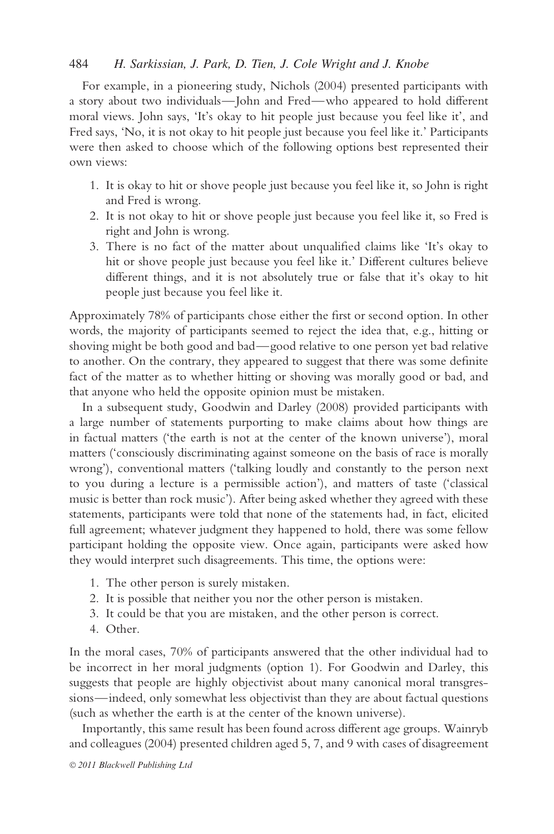For example, in a pioneering study, Nichols (2004) presented participants with a story about two individuals—John and Fred—who appeared to hold different moral views. John says, 'It's okay to hit people just because you feel like it', and Fred says, 'No, it is not okay to hit people just because you feel like it.' Participants were then asked to choose which of the following options best represented their own views:

- 1. It is okay to hit or shove people just because you feel like it, so John is right and Fred is wrong.
- 2. It is not okay to hit or shove people just because you feel like it, so Fred is right and John is wrong.
- 3. There is no fact of the matter about unqualified claims like 'It's okay to hit or shove people just because you feel like it.' Different cultures believe different things, and it is not absolutely true or false that it's okay to hit people just because you feel like it.

Approximately 78% of participants chose either the first or second option. In other words, the majority of participants seemed to reject the idea that, e.g., hitting or shoving might be both good and bad—good relative to one person yet bad relative to another. On the contrary, they appeared to suggest that there was some definite fact of the matter as to whether hitting or shoving was morally good or bad, and that anyone who held the opposite opinion must be mistaken.

In a subsequent study, Goodwin and Darley (2008) provided participants with a large number of statements purporting to make claims about how things are in factual matters ('the earth is not at the center of the known universe'), moral matters ('consciously discriminating against someone on the basis of race is morally wrong'), conventional matters ('talking loudly and constantly to the person next to you during a lecture is a permissible action'), and matters of taste ('classical music is better than rock music'). After being asked whether they agreed with these statements, participants were told that none of the statements had, in fact, elicited full agreement; whatever judgment they happened to hold, there was some fellow participant holding the opposite view. Once again, participants were asked how they would interpret such disagreements. This time, the options were:

- 1. The other person is surely mistaken.
- 2. It is possible that neither you nor the other person is mistaken.
- 3. It could be that you are mistaken, and the other person is correct.
- 4. Other.

In the moral cases, 70% of participants answered that the other individual had to be incorrect in her moral judgments (option 1). For Goodwin and Darley, this suggests that people are highly objectivist about many canonical moral transgressions—indeed, only somewhat less objectivist than they are about factual questions (such as whether the earth is at the center of the known universe).

Importantly, this same result has been found across different age groups. Wainryb and colleagues (2004) presented children aged 5, 7, and 9 with cases of disagreement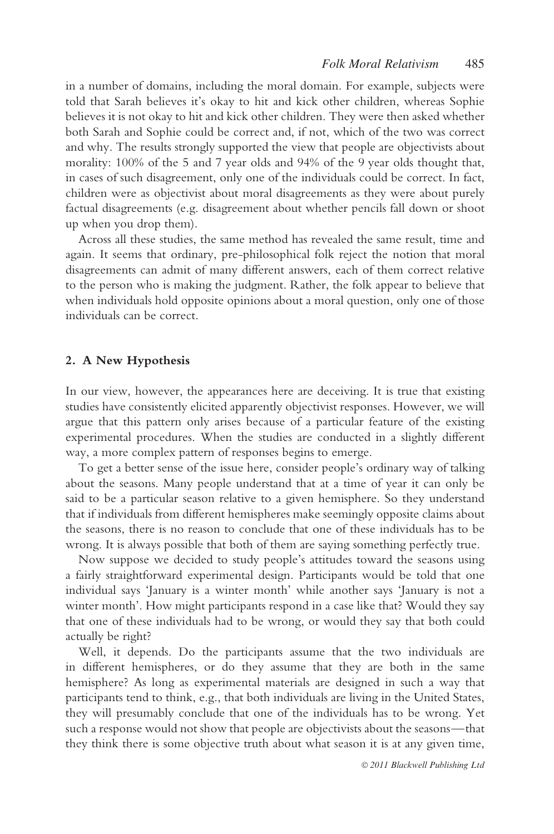in a number of domains, including the moral domain. For example, subjects were told that Sarah believes it's okay to hit and kick other children, whereas Sophie believes it is not okay to hit and kick other children. They were then asked whether both Sarah and Sophie could be correct and, if not, which of the two was correct and why. The results strongly supported the view that people are objectivists about morality: 100% of the 5 and 7 year olds and 94% of the 9 year olds thought that, in cases of such disagreement, only one of the individuals could be correct. In fact, children were as objectivist about moral disagreements as they were about purely factual disagreements (e.g. disagreement about whether pencils fall down or shoot up when you drop them).

Across all these studies, the same method has revealed the same result, time and again. It seems that ordinary, pre-philosophical folk reject the notion that moral disagreements can admit of many different answers, each of them correct relative to the person who is making the judgment. Rather, the folk appear to believe that when individuals hold opposite opinions about a moral question, only one of those individuals can be correct.

#### **2. A New Hypothesis**

In our view, however, the appearances here are deceiving. It is true that existing studies have consistently elicited apparently objectivist responses. However, we will argue that this pattern only arises because of a particular feature of the existing experimental procedures. When the studies are conducted in a slightly different way, a more complex pattern of responses begins to emerge.

To get a better sense of the issue here, consider people's ordinary way of talking about the seasons. Many people understand that at a time of year it can only be said to be a particular season relative to a given hemisphere. So they understand that if individuals from different hemispheres make seemingly opposite claims about the seasons, there is no reason to conclude that one of these individuals has to be wrong. It is always possible that both of them are saying something perfectly true.

Now suppose we decided to study people's attitudes toward the seasons using a fairly straightforward experimental design. Participants would be told that one individual says 'January is a winter month' while another says 'January is not a winter month'. How might participants respond in a case like that? Would they say that one of these individuals had to be wrong, or would they say that both could actually be right?

Well, it depends. Do the participants assume that the two individuals are in different hemispheres, or do they assume that they are both in the same hemisphere? As long as experimental materials are designed in such a way that participants tend to think, e.g., that both individuals are living in the United States, they will presumably conclude that one of the individuals has to be wrong. Yet such a response would not show that people are objectivists about the seasons—that they think there is some objective truth about what season it is at any given time,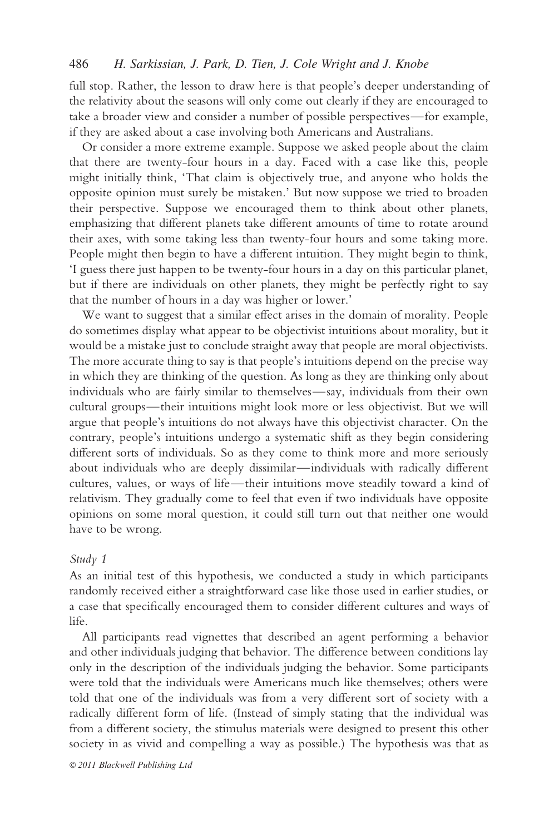full stop. Rather, the lesson to draw here is that people's deeper understanding of the relativity about the seasons will only come out clearly if they are encouraged to take a broader view and consider a number of possible perspectives—for example, if they are asked about a case involving both Americans and Australians.

Or consider a more extreme example. Suppose we asked people about the claim that there are twenty-four hours in a day. Faced with a case like this, people might initially think, 'That claim is objectively true, and anyone who holds the opposite opinion must surely be mistaken.' But now suppose we tried to broaden their perspective. Suppose we encouraged them to think about other planets, emphasizing that different planets take different amounts of time to rotate around their axes, with some taking less than twenty-four hours and some taking more. People might then begin to have a different intuition. They might begin to think, 'I guess there just happen to be twenty-four hours in a day on this particular planet, but if there are individuals on other planets, they might be perfectly right to say that the number of hours in a day was higher or lower.'

We want to suggest that a similar effect arises in the domain of morality. People do sometimes display what appear to be objectivist intuitions about morality, but it would be a mistake just to conclude straight away that people are moral objectivists. The more accurate thing to say is that people's intuitions depend on the precise way in which they are thinking of the question. As long as they are thinking only about individuals who are fairly similar to themselves—say, individuals from their own cultural groups—their intuitions might look more or less objectivist. But we will argue that people's intuitions do not always have this objectivist character. On the contrary, people's intuitions undergo a systematic shift as they begin considering different sorts of individuals. So as they come to think more and more seriously about individuals who are deeply dissimilar—individuals with radically different cultures, values, or ways of life—their intuitions move steadily toward a kind of relativism. They gradually come to feel that even if two individuals have opposite opinions on some moral question, it could still turn out that neither one would have to be wrong.

#### *Study 1*

As an initial test of this hypothesis, we conducted a study in which participants randomly received either a straightforward case like those used in earlier studies, or a case that specifically encouraged them to consider different cultures and ways of life.

All participants read vignettes that described an agent performing a behavior and other individuals judging that behavior. The difference between conditions lay only in the description of the individuals judging the behavior. Some participants were told that the individuals were Americans much like themselves; others were told that one of the individuals was from a very different sort of society with a radically different form of life. (Instead of simply stating that the individual was from a different society, the stimulus materials were designed to present this other society in as vivid and compelling a way as possible.) The hypothesis was that as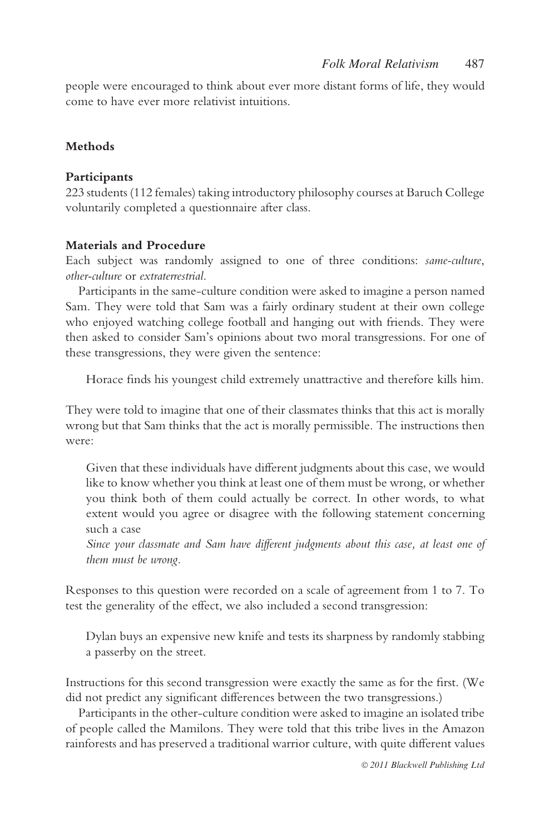people were encouraged to think about ever more distant forms of life, they would come to have ever more relativist intuitions.

## **Methods**

## **Participants**

223 students (112 females) taking introductory philosophy courses at Baruch College voluntarily completed a questionnaire after class.

## **Materials and Procedure**

Each subject was randomly assigned to one of three conditions: *same-culture*, *other-culture* or *extraterrestrial*.

Participants in the same-culture condition were asked to imagine a person named Sam. They were told that Sam was a fairly ordinary student at their own college who enjoyed watching college football and hanging out with friends. They were then asked to consider Sam's opinions about two moral transgressions. For one of these transgressions, they were given the sentence:

Horace finds his youngest child extremely unattractive and therefore kills him.

They were told to imagine that one of their classmates thinks that this act is morally wrong but that Sam thinks that the act is morally permissible. The instructions then were:

Given that these individuals have different judgments about this case, we would like to know whether you think at least one of them must be wrong, or whether you think both of them could actually be correct. In other words, to what extent would you agree or disagree with the following statement concerning such a case

*Since your classmate and Sam have different judgments about this case, at least one of them must be wrong.*

Responses to this question were recorded on a scale of agreement from 1 to 7. To test the generality of the effect, we also included a second transgression:

Dylan buys an expensive new knife and tests its sharpness by randomly stabbing a passerby on the street.

Instructions for this second transgression were exactly the same as for the first. (We did not predict any significant differences between the two transgressions.)

Participants in the other-culture condition were asked to imagine an isolated tribe of people called the Mamilons. They were told that this tribe lives in the Amazon rainforests and has preserved a traditional warrior culture, with quite different values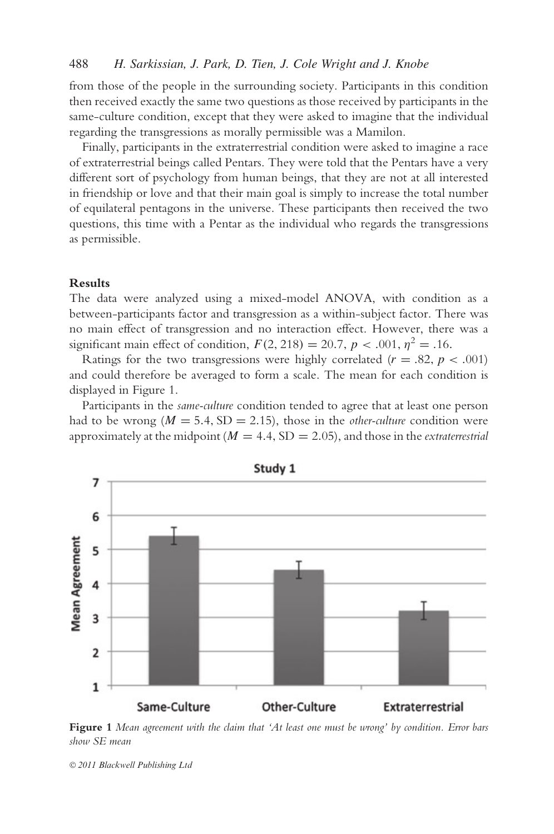from those of the people in the surrounding society. Participants in this condition then received exactly the same two questions as those received by participants in the same-culture condition, except that they were asked to imagine that the individual regarding the transgressions as morally permissible was a Mamilon.

Finally, participants in the extraterrestrial condition were asked to imagine a race of extraterrestrial beings called Pentars. They were told that the Pentars have a very different sort of psychology from human beings, that they are not at all interested in friendship or love and that their main goal is simply to increase the total number of equilateral pentagons in the universe. These participants then received the two questions, this time with a Pentar as the individual who regards the transgressions as permissible.

## **Results**

The data were analyzed using a mixed-model ANOVA, with condition as a between-participants factor and transgression as a within-subject factor. There was no main effect of transgression and no interaction effect. However, there was a significant main effect of condition,  $F(2, 218) = 20.7$ ,  $p < .001$ ,  $\eta^2 = .16$ *.* 

Ratings for the two transgressions were highly correlated  $(r = .82, p < .001)$ and could therefore be averaged to form a scale. The mean for each condition is displayed in Figure 1.

Participants in the *same-culture* condition tended to agree that at least one person had to be wrong  $(M = 5.4, SD = 2.15)$ , those in the *other-culture* condition were approximately at the midpoint (*M* = 4*.*4*,* SD = 2*.*05), and those in the *extraterrestrial*



**Figure 1** *Mean agreement with the claim that 'At least one must be wrong' by condition. Error bars show SE mean*

© *2011 Blackwell Publishing Ltd*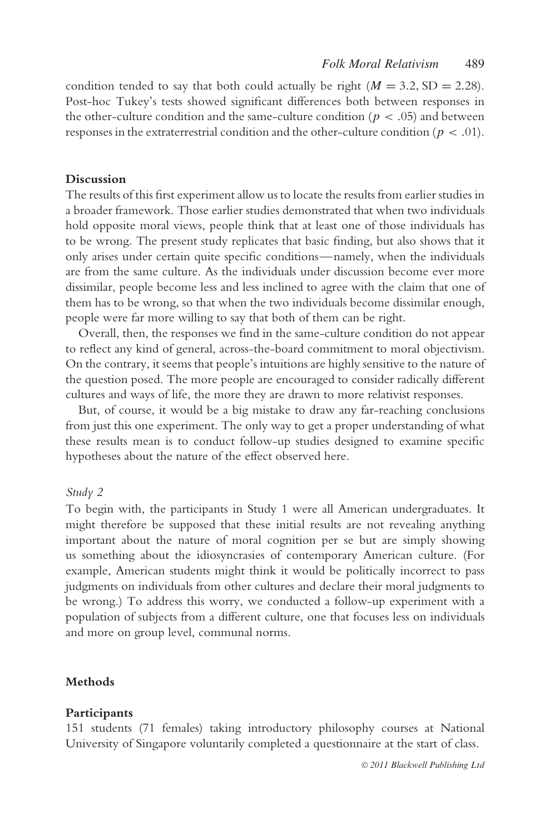condition tended to say that both could actually be right  $(M = 3.2, SD = 2.28)$ . Post-hoc Tukey's tests showed significant differences both between responses in the other-culture condition and the same-culture condition ( $p < .05$ ) and between responses in the extraterrestrial condition and the other-culture condition ( $p < .01$ ).

#### **Discussion**

The results of this first experiment allow us to locate the results from earlier studies in a broader framework. Those earlier studies demonstrated that when two individuals hold opposite moral views, people think that at least one of those individuals has to be wrong. The present study replicates that basic finding, but also shows that it only arises under certain quite specific conditions—namely, when the individuals are from the same culture. As the individuals under discussion become ever more dissimilar, people become less and less inclined to agree with the claim that one of them has to be wrong, so that when the two individuals become dissimilar enough, people were far more willing to say that both of them can be right.

Overall, then, the responses we find in the same-culture condition do not appear to reflect any kind of general, across-the-board commitment to moral objectivism. On the contrary, it seems that people's intuitions are highly sensitive to the nature of the question posed. The more people are encouraged to consider radically different cultures and ways of life, the more they are drawn to more relativist responses.

But, of course, it would be a big mistake to draw any far-reaching conclusions from just this one experiment. The only way to get a proper understanding of what these results mean is to conduct follow-up studies designed to examine specific hypotheses about the nature of the effect observed here.

#### *Study 2*

To begin with, the participants in Study 1 were all American undergraduates. It might therefore be supposed that these initial results are not revealing anything important about the nature of moral cognition per se but are simply showing us something about the idiosyncrasies of contemporary American culture. (For example, American students might think it would be politically incorrect to pass judgments on individuals from other cultures and declare their moral judgments to be wrong.) To address this worry, we conducted a follow-up experiment with a population of subjects from a different culture, one that focuses less on individuals and more on group level, communal norms.

## **Methods**

#### **Participants**

151 students (71 females) taking introductory philosophy courses at National University of Singapore voluntarily completed a questionnaire at the start of class.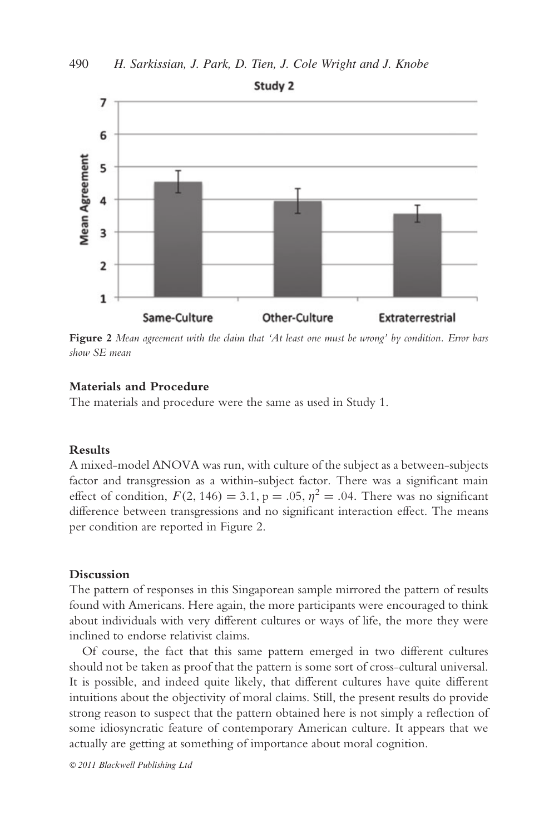

**Figure 2** *Mean agreement with the claim that 'At least one must be wrong' by condition. Error bars show SE mean*

## **Materials and Procedure**

The materials and procedure were the same as used in Study 1.

## **Results**

A mixed-model ANOVA was run, with culture of the subject as a between-subjects factor and transgression as a within-subject factor. There was a significant main effect of condition,  $F(2, 146) = 3.1$ ,  $p = .05$ ,  $\eta^2 = .04$ . There was no significant difference between transgressions and no significant interaction effect. The means per condition are reported in Figure 2.

## **Discussion**

The pattern of responses in this Singaporean sample mirrored the pattern of results found with Americans. Here again, the more participants were encouraged to think about individuals with very different cultures or ways of life, the more they were inclined to endorse relativist claims.

Of course, the fact that this same pattern emerged in two different cultures should not be taken as proof that the pattern is some sort of cross-cultural universal. It is possible, and indeed quite likely, that different cultures have quite different intuitions about the objectivity of moral claims. Still, the present results do provide strong reason to suspect that the pattern obtained here is not simply a reflection of some idiosyncratic feature of contemporary American culture. It appears that we actually are getting at something of importance about moral cognition.

© *2011 Blackwell Publishing Ltd*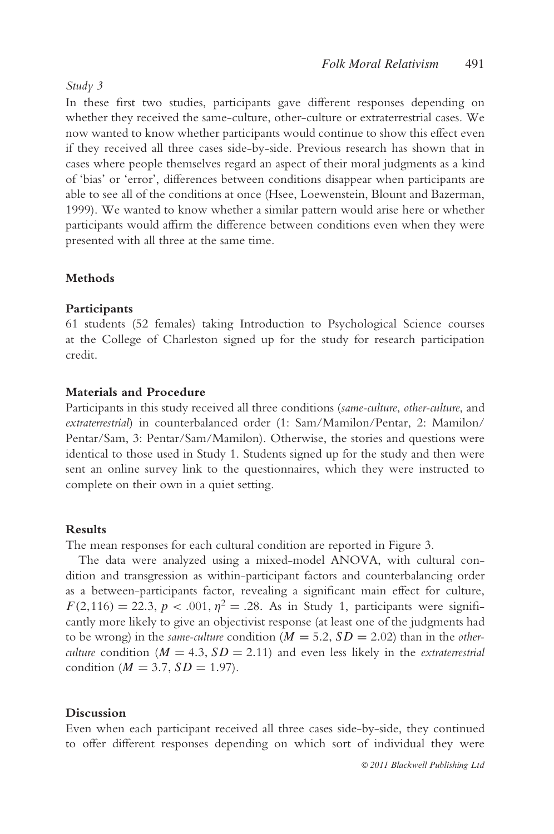#### *Study 3*

In these first two studies, participants gave different responses depending on whether they received the same-culture, other-culture or extraterrestrial cases. We now wanted to know whether participants would continue to show this effect even if they received all three cases side-by-side. Previous research has shown that in cases where people themselves regard an aspect of their moral judgments as a kind of 'bias' or 'error', differences between conditions disappear when participants are able to see all of the conditions at once (Hsee, Loewenstein, Blount and Bazerman, 1999). We wanted to know whether a similar pattern would arise here or whether participants would affirm the difference between conditions even when they were presented with all three at the same time.

#### **Methods**

#### **Participants**

61 students (52 females) taking Introduction to Psychological Science courses at the College of Charleston signed up for the study for research participation credit.

## **Materials and Procedure**

Participants in this study received all three conditions (*same-culture*, *other-culture*, and *extraterrestrial*) in counterbalanced order (1: Sam/Mamilon/Pentar, 2: Mamilon/ Pentar/Sam, 3: Pentar/Sam/Mamilon). Otherwise, the stories and questions were identical to those used in Study 1. Students signed up for the study and then were sent an online survey link to the questionnaires, which they were instructed to complete on their own in a quiet setting.

## **Results**

The mean responses for each cultural condition are reported in Figure 3.

The data were analyzed using a mixed-model ANOVA, with cultural condition and transgression as within-participant factors and counterbalancing order as a between-participants factor, revealing a significant main effect for culture,  $F(2,116) = 22.3, p < .001, \eta^2 = .28$ . As in Study 1, participants were significantly more likely to give an objectivist response (at least one of the judgments had to be wrong) in the *same-culture* condition ( $M = 5.2$ ,  $SD = 2.02$ ) than in the *otherculture* condition  $(M = 4.3, SD = 2.11)$  and even less likely in the *extraterrestrial* condition ( $M = 3.7$ ,  $SD = 1.97$ ).

## **Discussion**

Even when each participant received all three cases side-by-side, they continued to offer different responses depending on which sort of individual they were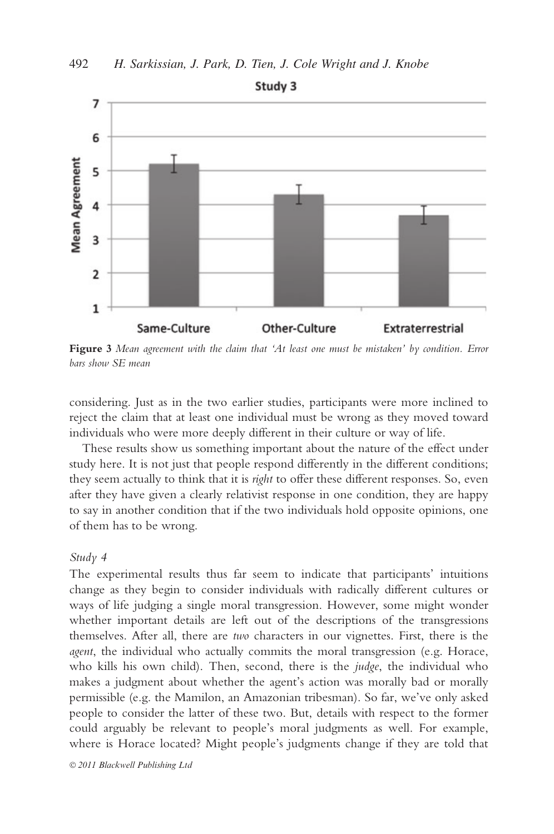

**Figure 3** *Mean agreement with the claim that 'At least one must be mistaken' by condition. Error bars show SE mean*

considering. Just as in the two earlier studies, participants were more inclined to reject the claim that at least one individual must be wrong as they moved toward individuals who were more deeply different in their culture or way of life.

These results show us something important about the nature of the effect under study here. It is not just that people respond differently in the different conditions; they seem actually to think that it is *right* to offer these different responses. So, even after they have given a clearly relativist response in one condition, they are happy to say in another condition that if the two individuals hold opposite opinions, one of them has to be wrong.

#### *Study 4*

The experimental results thus far seem to indicate that participants' intuitions change as they begin to consider individuals with radically different cultures or ways of life judging a single moral transgression. However, some might wonder whether important details are left out of the descriptions of the transgressions themselves. After all, there are *two* characters in our vignettes. First, there is the *agent*, the individual who actually commits the moral transgression (e.g. Horace, who kills his own child). Then, second, there is the *judge*, the individual who makes a judgment about whether the agent's action was morally bad or morally permissible (e.g. the Mamilon, an Amazonian tribesman). So far, we've only asked people to consider the latter of these two. But, details with respect to the former could arguably be relevant to people's moral judgments as well. For example, where is Horace located? Might people's judgments change if they are told that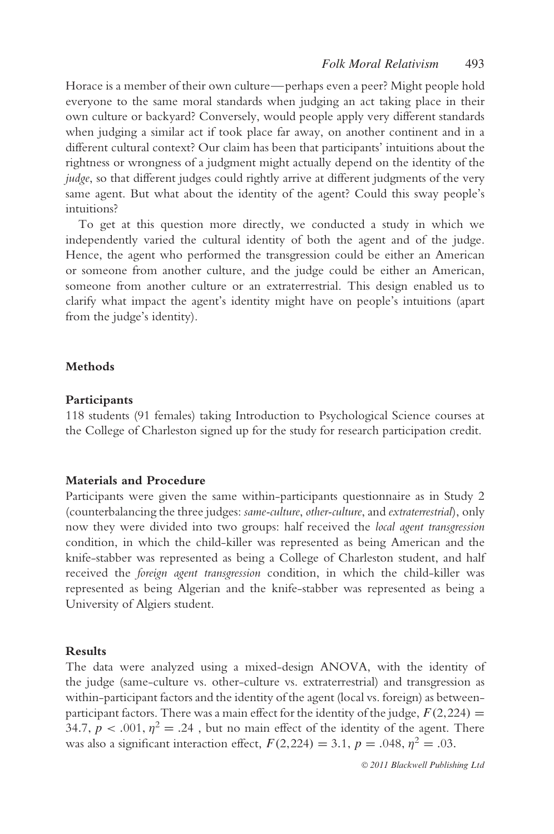Horace is a member of their own culture—perhaps even a peer? Might people hold everyone to the same moral standards when judging an act taking place in their own culture or backyard? Conversely, would people apply very different standards when judging a similar act if took place far away, on another continent and in a different cultural context? Our claim has been that participants' intuitions about the rightness or wrongness of a judgment might actually depend on the identity of the *judge*, so that different judges could rightly arrive at different judgments of the very same agent. But what about the identity of the agent? Could this sway people's intuitions?

To get at this question more directly, we conducted a study in which we independently varied the cultural identity of both the agent and of the judge. Hence, the agent who performed the transgression could be either an American or someone from another culture, and the judge could be either an American, someone from another culture or an extraterrestrial. This design enabled us to clarify what impact the agent's identity might have on people's intuitions (apart from the judge's identity).

#### **Methods**

#### **Participants**

118 students (91 females) taking Introduction to Psychological Science courses at the College of Charleston signed up for the study for research participation credit.

#### **Materials and Procedure**

Participants were given the same within-participants questionnaire as in Study 2 (counterbalancing the three judges: *same-culture*, *other-culture*, and *extraterrestrial*), only now they were divided into two groups: half received the *local agent transgression* condition, in which the child-killer was represented as being American and the knife-stabber was represented as being a College of Charleston student, and half received the *foreign agent transgression* condition, in which the child-killer was represented as being Algerian and the knife-stabber was represented as being a University of Algiers student.

#### **Results**

The data were analyzed using a mixed-design ANOVA, with the identity of the judge (same-culture vs. other-culture vs. extraterrestrial) and transgression as within-participant factors and the identity of the agent (local vs. foreign) as betweenparticipant factors. There was a main effect for the identity of the judge,  $F(2,224) =$ 34.7*, p* < .001*,*  $\eta^2 = .24$ *, but no main effect of the identity of the agent. There* was also a significant interaction effect,  $F(2,224) = 3.1, p = .048, \eta^2 = .03$ .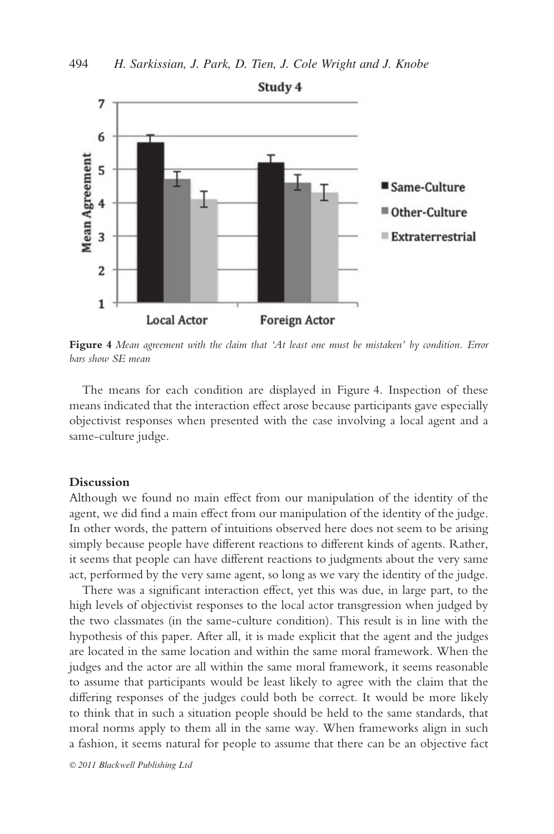

**Figure 4** *Mean agreement with the claim that 'At least one must be mistaken' by condition. Error bars show SE mean*

The means for each condition are displayed in Figure 4. Inspection of these means indicated that the interaction effect arose because participants gave especially objectivist responses when presented with the case involving a local agent and a same-culture judge.

## **Discussion**

Although we found no main effect from our manipulation of the identity of the agent, we did find a main effect from our manipulation of the identity of the judge. In other words, the pattern of intuitions observed here does not seem to be arising simply because people have different reactions to different kinds of agents. Rather, it seems that people can have different reactions to judgments about the very same act, performed by the very same agent, so long as we vary the identity of the judge.

There was a significant interaction effect, yet this was due, in large part, to the high levels of objectivist responses to the local actor transgression when judged by the two classmates (in the same-culture condition). This result is in line with the hypothesis of this paper. After all, it is made explicit that the agent and the judges are located in the same location and within the same moral framework. When the judges and the actor are all within the same moral framework, it seems reasonable to assume that participants would be least likely to agree with the claim that the differing responses of the judges could both be correct. It would be more likely to think that in such a situation people should be held to the same standards, that moral norms apply to them all in the same way. When frameworks align in such a fashion, it seems natural for people to assume that there can be an objective fact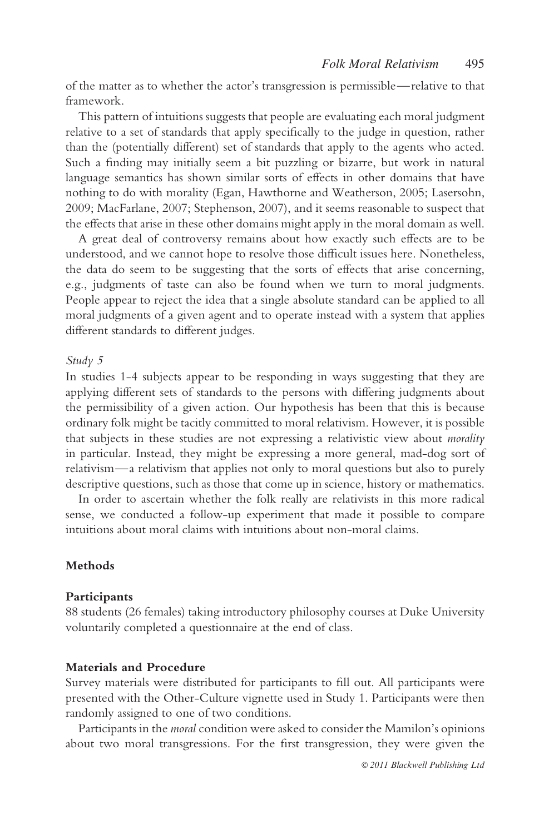of the matter as to whether the actor's transgression is permissible—relative to that framework.

This pattern of intuitions suggests that people are evaluating each moral judgment relative to a set of standards that apply specifically to the judge in question, rather than the (potentially different) set of standards that apply to the agents who acted. Such a finding may initially seem a bit puzzling or bizarre, but work in natural language semantics has shown similar sorts of effects in other domains that have nothing to do with morality (Egan, Hawthorne and Weatherson, 2005; Lasersohn, 2009; MacFarlane, 2007; Stephenson, 2007), and it seems reasonable to suspect that the effects that arise in these other domains might apply in the moral domain as well.

A great deal of controversy remains about how exactly such effects are to be understood, and we cannot hope to resolve those difficult issues here. Nonetheless, the data do seem to be suggesting that the sorts of effects that arise concerning, e.g., judgments of taste can also be found when we turn to moral judgments. People appear to reject the idea that a single absolute standard can be applied to all moral judgments of a given agent and to operate instead with a system that applies different standards to different judges.

## *Study 5*

In studies 1-4 subjects appear to be responding in ways suggesting that they are applying different sets of standards to the persons with differing judgments about the permissibility of a given action. Our hypothesis has been that this is because ordinary folk might be tacitly committed to moral relativism. However, it is possible that subjects in these studies are not expressing a relativistic view about *morality* in particular. Instead, they might be expressing a more general, mad-dog sort of relativism—a relativism that applies not only to moral questions but also to purely descriptive questions, such as those that come up in science, history or mathematics.

In order to ascertain whether the folk really are relativists in this more radical sense, we conducted a follow-up experiment that made it possible to compare intuitions about moral claims with intuitions about non-moral claims.

#### **Methods**

#### **Participants**

88 students (26 females) taking introductory philosophy courses at Duke University voluntarily completed a questionnaire at the end of class.

#### **Materials and Procedure**

Survey materials were distributed for participants to fill out. All participants were presented with the Other-Culture vignette used in Study 1. Participants were then randomly assigned to one of two conditions.

Participants in the *moral* condition were asked to consider the Mamilon's opinions about two moral transgressions. For the first transgression, they were given the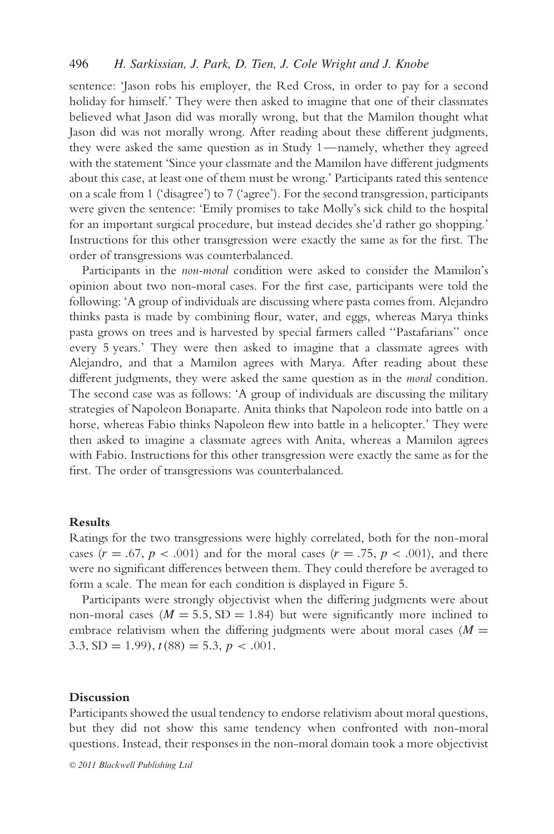sentence: 'Jason robs his employer, the Red Cross, in order to pay for a second holiday for himself.' They were then asked to imagine that one of their classmates believed what Jason did was morally wrong, but that the Mamilon thought what Jason did was not morally wrong. After reading about these different judgments, they were asked the same question as in Study 1—namely, whether they agreed with the statement 'Since your classmate and the Mamilon have different judgments about this case, at least one of them must be wrong.' Participants rated this sentence on a scale from 1 ('disagree') to 7 ('agree'). For the second transgression, participants were given the sentence: 'Emily promises to take Molly's sick child to the hospital for an important surgical procedure, but instead decides she'd rather go shopping.' Instructions for this other transgression were exactly the same as for the first. The order of transgressions was counterbalanced.

Participants in the *non-moral* condition were asked to consider the Mamilon's opinion about two non-moral cases. For the first case, participants were told the following: 'A group of individuals are discussing where pasta comes from. Alejandro thinks pasta is made by combining flour, water, and eggs, whereas Marya thinks pasta grows on trees and is harvested by special farmers called ''Pastafarians'' once every 5 years.' They were then asked to imagine that a classmate agrees with Alejandro, and that a Mamilon agrees with Marya. After reading about these different judgments, they were asked the same question as in the *moral* condition. The second case was as follows: 'A group of individuals are discussing the military strategies of Napoleon Bonaparte. Anita thinks that Napoleon rode into battle on a horse, whereas Fabio thinks Napoleon flew into battle in a helicopter.' They were then asked to imagine a classmate agrees with Anita, whereas a Mamilon agrees with Fabio. Instructions for this other transgression were exactly the same as for the first. The order of transgressions was counterbalanced.

#### **Results**

Ratings for the two transgressions were highly correlated, both for the non-moral cases  $(r = .67, p < .001)$  and for the moral cases  $(r = .75, p < .001)$ , and there were no significant differences between them. They could therefore be averaged to form a scale. The mean for each condition is displayed in Figure 5.

Participants were strongly objectivist when the differing judgments were about non-moral cases ( $M = 5.5$ , SD = 1.84) but were significantly more inclined to embrace relativism when the differing judgments were about moral cases ( $M =$ 3.3,  $SD = 1.99$ ,  $t(88) = 5.3$ ,  $p < .001$ .

## **Discussion**

Participants showed the usual tendency to endorse relativism about moral questions, but they did not show this same tendency when confronted with non-moral questions. Instead, their responses in the non-moral domain took a more objectivist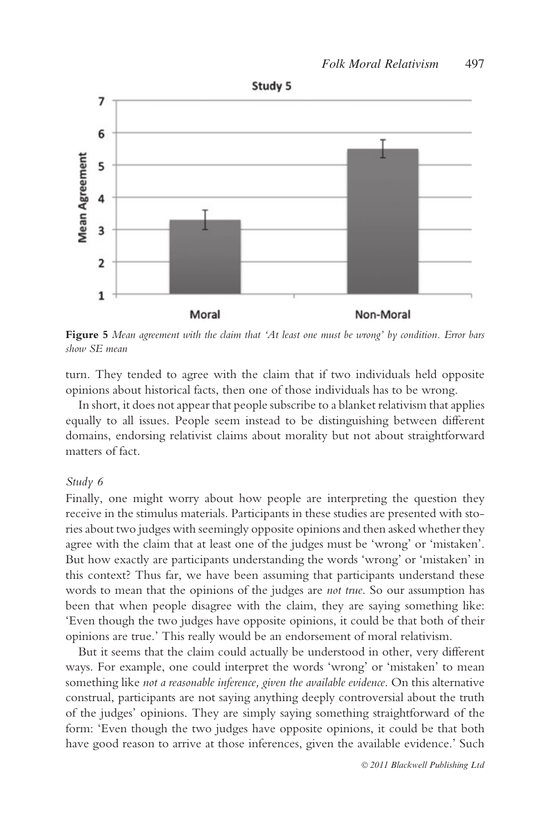

**Figure 5** *Mean agreement with the claim that 'At least one must be wrong' by condition. Error bars show SE mean*

turn. They tended to agree with the claim that if two individuals held opposite opinions about historical facts, then one of those individuals has to be wrong.

In short, it does not appear that people subscribe to a blanket relativism that applies equally to all issues. People seem instead to be distinguishing between different domains, endorsing relativist claims about morality but not about straightforward matters of fact.

#### *Study 6*

Finally, one might worry about how people are interpreting the question they receive in the stimulus materials. Participants in these studies are presented with stories about two judges with seemingly opposite opinions and then asked whether they agree with the claim that at least one of the judges must be 'wrong' or 'mistaken'. But how exactly are participants understanding the words 'wrong' or 'mistaken' in this context? Thus far, we have been assuming that participants understand these words to mean that the opinions of the judges are *not true*. So our assumption has been that when people disagree with the claim, they are saying something like: 'Even though the two judges have opposite opinions, it could be that both of their opinions are true.' This really would be an endorsement of moral relativism.

But it seems that the claim could actually be understood in other, very different ways. For example, one could interpret the words 'wrong' or 'mistaken' to mean something like *not a reasonable inference, given the available evidence*. On this alternative construal, participants are not saying anything deeply controversial about the truth of the judges' opinions. They are simply saying something straightforward of the form: 'Even though the two judges have opposite opinions, it could be that both have good reason to arrive at those inferences, given the available evidence.' Such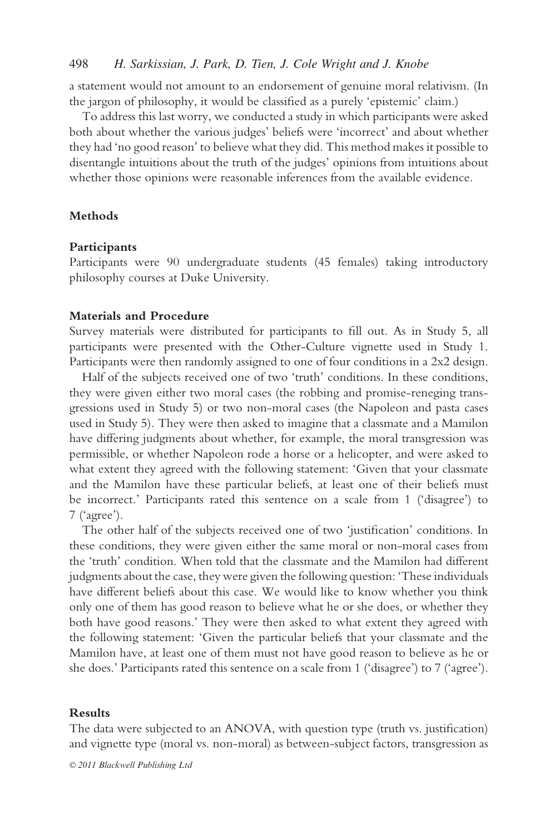a statement would not amount to an endorsement of genuine moral relativism. (In the jargon of philosophy, it would be classified as a purely 'epistemic' claim.)

To address this last worry, we conducted a study in which participants were asked both about whether the various judges' beliefs were 'incorrect' and about whether they had 'no good reason' to believe what they did. This method makes it possible to disentangle intuitions about the truth of the judges' opinions from intuitions about whether those opinions were reasonable inferences from the available evidence.

## **Methods**

#### **Participants**

Participants were 90 undergraduate students (45 females) taking introductory philosophy courses at Duke University.

## **Materials and Procedure**

Survey materials were distributed for participants to fill out. As in Study 5, all participants were presented with the Other-Culture vignette used in Study 1. Participants were then randomly assigned to one of four conditions in a 2x2 design.

Half of the subjects received one of two 'truth' conditions. In these conditions, they were given either two moral cases (the robbing and promise-reneging transgressions used in Study 5) or two non-moral cases (the Napoleon and pasta cases used in Study 5). They were then asked to imagine that a classmate and a Mamilon have differing judgments about whether, for example, the moral transgression was permissible, or whether Napoleon rode a horse or a helicopter, and were asked to what extent they agreed with the following statement: 'Given that your classmate and the Mamilon have these particular beliefs, at least one of their beliefs must be incorrect.' Participants rated this sentence on a scale from 1 ('disagree') to 7 ('agree').

The other half of the subjects received one of two 'justification' conditions. In these conditions, they were given either the same moral or non-moral cases from the 'truth' condition. When told that the classmate and the Mamilon had different judgments about the case, they were given the following question: 'These individuals have different beliefs about this case. We would like to know whether you think only one of them has good reason to believe what he or she does, or whether they both have good reasons.' They were then asked to what extent they agreed with the following statement: 'Given the particular beliefs that your classmate and the Mamilon have, at least one of them must not have good reason to believe as he or she does.' Participants rated this sentence on a scale from 1 ('disagree') to 7 ('agree').

## **Results**

The data were subjected to an ANOVA, with question type (truth vs. justification) and vignette type (moral vs. non-moral) as between-subject factors, transgression as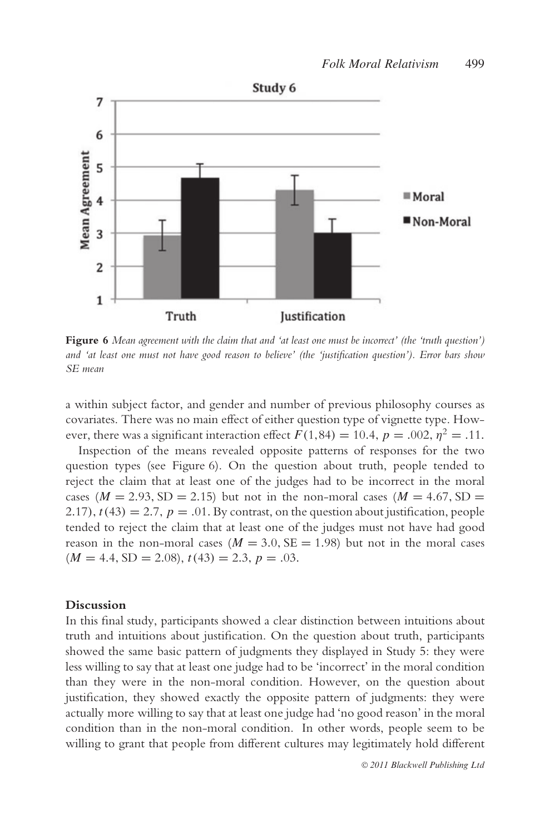

**Figure 6** *Mean agreement with the claim that and 'at least one must be incorrect' (the 'truth question') and 'at least one must not have good reason to believe' (the 'justification question'). Error bars show SE mean*

a within subject factor, and gender and number of previous philosophy courses as covariates. There was no main effect of either question type of vignette type. However, there was a significant interaction effect  $F(1,84) = 10.4$ ,  $p = .002$ ,  $n^2 = .11$ .

Inspection of the means revealed opposite patterns of responses for the two question types (see Figure 6). On the question about truth, people tended to reject the claim that at least one of the judges had to be incorrect in the moral cases  $(M = 2.93, SD = 2.15)$  but not in the non-moral cases  $(M = 4.67, SD =$ 2.17),  $t(43) = 2.7$ ,  $p = .01$ . By contrast, on the question about justification, people tended to reject the claim that at least one of the judges must not have had good reason in the non-moral cases ( $M = 3.0$ ,  $SE = 1.98$ ) but not in the moral cases  $(M = 4.4, SD = 2.08), t(43) = 2.3, p = .03.$ 

## **Discussion**

In this final study, participants showed a clear distinction between intuitions about truth and intuitions about justification. On the question about truth, participants showed the same basic pattern of judgments they displayed in Study 5: they were less willing to say that at least one judge had to be 'incorrect' in the moral condition than they were in the non-moral condition. However, on the question about justification, they showed exactly the opposite pattern of judgments: they were actually more willing to say that at least one judge had 'no good reason' in the moral condition than in the non-moral condition. In other words, people seem to be willing to grant that people from different cultures may legitimately hold different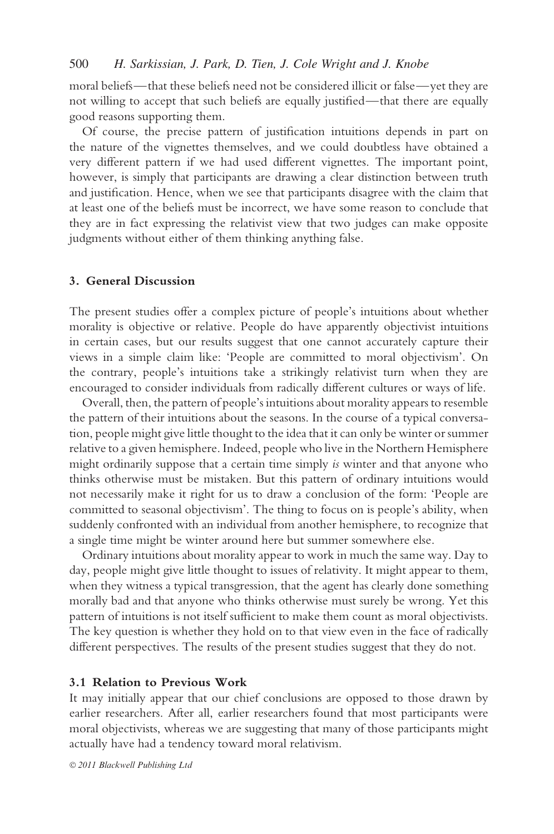moral beliefs—that these beliefs need not be considered illicit or false—yet they are not willing to accept that such beliefs are equally justified—that there are equally good reasons supporting them.

Of course, the precise pattern of justification intuitions depends in part on the nature of the vignettes themselves, and we could doubtless have obtained a very different pattern if we had used different vignettes. The important point, however, is simply that participants are drawing a clear distinction between truth and justification. Hence, when we see that participants disagree with the claim that at least one of the beliefs must be incorrect, we have some reason to conclude that they are in fact expressing the relativist view that two judges can make opposite judgments without either of them thinking anything false.

#### **3. General Discussion**

The present studies offer a complex picture of people's intuitions about whether morality is objective or relative. People do have apparently objectivist intuitions in certain cases, but our results suggest that one cannot accurately capture their views in a simple claim like: 'People are committed to moral objectivism'. On the contrary, people's intuitions take a strikingly relativist turn when they are encouraged to consider individuals from radically different cultures or ways of life.

Overall, then, the pattern of people's intuitions about morality appears to resemble the pattern of their intuitions about the seasons. In the course of a typical conversation, people might give little thought to the idea that it can only be winter or summer relative to a given hemisphere. Indeed, people who live in the Northern Hemisphere might ordinarily suppose that a certain time simply *is* winter and that anyone who thinks otherwise must be mistaken. But this pattern of ordinary intuitions would not necessarily make it right for us to draw a conclusion of the form: 'People are committed to seasonal objectivism'. The thing to focus on is people's ability, when suddenly confronted with an individual from another hemisphere, to recognize that a single time might be winter around here but summer somewhere else.

Ordinary intuitions about morality appear to work in much the same way. Day to day, people might give little thought to issues of relativity. It might appear to them, when they witness a typical transgression, that the agent has clearly done something morally bad and that anyone who thinks otherwise must surely be wrong. Yet this pattern of intuitions is not itself sufficient to make them count as moral objectivists. The key question is whether they hold on to that view even in the face of radically different perspectives. The results of the present studies suggest that they do not.

## **3.1 Relation to Previous Work**

It may initially appear that our chief conclusions are opposed to those drawn by earlier researchers. After all, earlier researchers found that most participants were moral objectivists, whereas we are suggesting that many of those participants might actually have had a tendency toward moral relativism.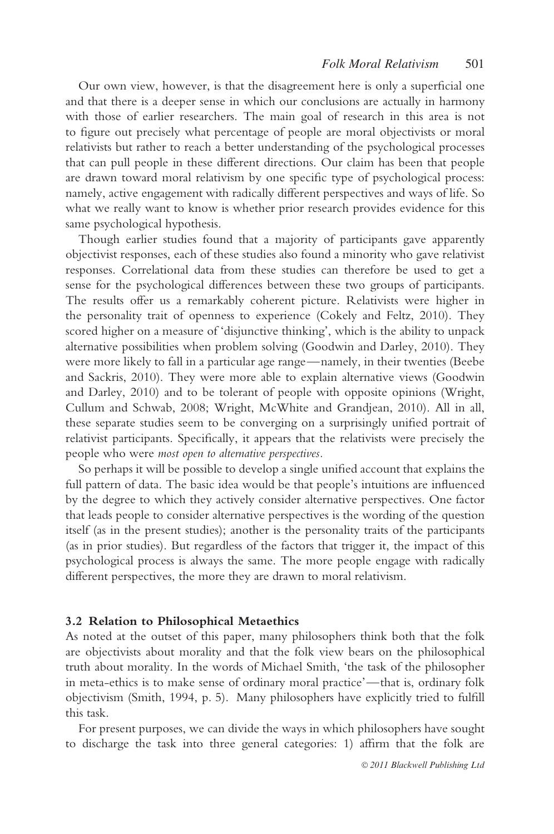Our own view, however, is that the disagreement here is only a superficial one and that there is a deeper sense in which our conclusions are actually in harmony with those of earlier researchers. The main goal of research in this area is not to figure out precisely what percentage of people are moral objectivists or moral relativists but rather to reach a better understanding of the psychological processes that can pull people in these different directions. Our claim has been that people are drawn toward moral relativism by one specific type of psychological process: namely, active engagement with radically different perspectives and ways of life. So what we really want to know is whether prior research provides evidence for this same psychological hypothesis.

Though earlier studies found that a majority of participants gave apparently objectivist responses, each of these studies also found a minority who gave relativist responses. Correlational data from these studies can therefore be used to get a sense for the psychological differences between these two groups of participants. The results offer us a remarkably coherent picture. Relativists were higher in the personality trait of openness to experience (Cokely and Feltz, 2010). They scored higher on a measure of 'disjunctive thinking', which is the ability to unpack alternative possibilities when problem solving (Goodwin and Darley, 2010). They were more likely to fall in a particular age range—namely, in their twenties (Beebe and Sackris, 2010). They were more able to explain alternative views (Goodwin and Darley, 2010) and to be tolerant of people with opposite opinions (Wright, Cullum and Schwab, 2008; Wright, McWhite and Grandjean, 2010). All in all, these separate studies seem to be converging on a surprisingly unified portrait of relativist participants. Specifically, it appears that the relativists were precisely the people who were *most open to alternative perspectives.*

So perhaps it will be possible to develop a single unified account that explains the full pattern of data. The basic idea would be that people's intuitions are influenced by the degree to which they actively consider alternative perspectives. One factor that leads people to consider alternative perspectives is the wording of the question itself (as in the present studies); another is the personality traits of the participants (as in prior studies). But regardless of the factors that trigger it, the impact of this psychological process is always the same. The more people engage with radically different perspectives, the more they are drawn to moral relativism.

#### **3.2 Relation to Philosophical Metaethics**

As noted at the outset of this paper, many philosophers think both that the folk are objectivists about morality and that the folk view bears on the philosophical truth about morality. In the words of Michael Smith, 'the task of the philosopher in meta-ethics is to make sense of ordinary moral practice'—that is, ordinary folk objectivism (Smith, 1994, p. 5). Many philosophers have explicitly tried to fulfill this task.

For present purposes, we can divide the ways in which philosophers have sought to discharge the task into three general categories: 1) affirm that the folk are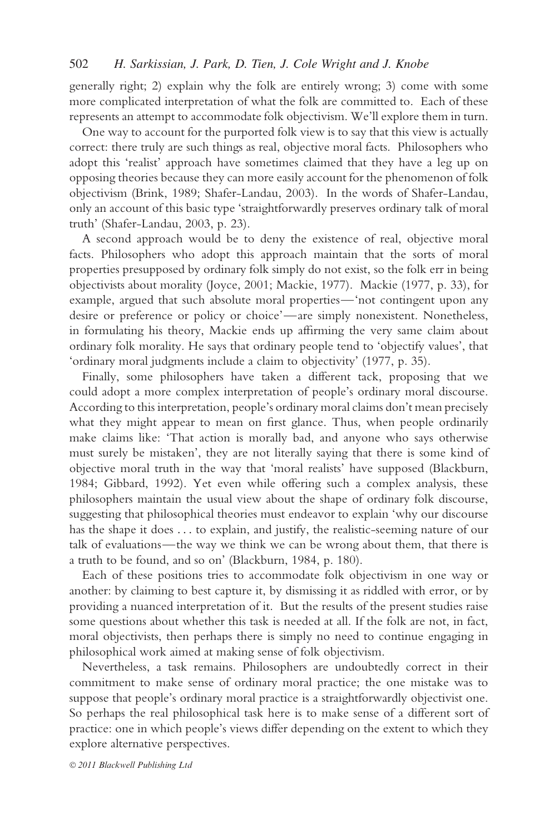generally right; 2) explain why the folk are entirely wrong; 3) come with some more complicated interpretation of what the folk are committed to. Each of these represents an attempt to accommodate folk objectivism. We'll explore them in turn.

One way to account for the purported folk view is to say that this view is actually correct: there truly are such things as real, objective moral facts. Philosophers who adopt this 'realist' approach have sometimes claimed that they have a leg up on opposing theories because they can more easily account for the phenomenon of folk objectivism (Brink, 1989; Shafer-Landau, 2003). In the words of Shafer-Landau, only an account of this basic type 'straightforwardly preserves ordinary talk of moral truth' (Shafer-Landau, 2003, p. 23).

A second approach would be to deny the existence of real, objective moral facts. Philosophers who adopt this approach maintain that the sorts of moral properties presupposed by ordinary folk simply do not exist, so the folk err in being objectivists about morality (Joyce, 2001; Mackie, 1977). Mackie (1977, p. 33), for example, argued that such absolute moral properties—'not contingent upon any desire or preference or policy or choice'—are simply nonexistent. Nonetheless, in formulating his theory, Mackie ends up affirming the very same claim about ordinary folk morality. He says that ordinary people tend to 'objectify values', that 'ordinary moral judgments include a claim to objectivity' (1977, p. 35).

Finally, some philosophers have taken a different tack, proposing that we could adopt a more complex interpretation of people's ordinary moral discourse. According to this interpretation, people's ordinary moral claims don't mean precisely what they might appear to mean on first glance. Thus, when people ordinarily make claims like: 'That action is morally bad, and anyone who says otherwise must surely be mistaken', they are not literally saying that there is some kind of objective moral truth in the way that 'moral realists' have supposed (Blackburn, 1984; Gibbard, 1992). Yet even while offering such a complex analysis, these philosophers maintain the usual view about the shape of ordinary folk discourse, suggesting that philosophical theories must endeavor to explain 'why our discourse has the shape it does *...* to explain, and justify, the realistic-seeming nature of our talk of evaluations—the way we think we can be wrong about them, that there is a truth to be found, and so on' (Blackburn, 1984, p. 180).

Each of these positions tries to accommodate folk objectivism in one way or another: by claiming to best capture it, by dismissing it as riddled with error, or by providing a nuanced interpretation of it. But the results of the present studies raise some questions about whether this task is needed at all. If the folk are not, in fact, moral objectivists, then perhaps there is simply no need to continue engaging in philosophical work aimed at making sense of folk objectivism.

Nevertheless, a task remains. Philosophers are undoubtedly correct in their commitment to make sense of ordinary moral practice; the one mistake was to suppose that people's ordinary moral practice is a straightforwardly objectivist one. So perhaps the real philosophical task here is to make sense of a different sort of practice: one in which people's views differ depending on the extent to which they explore alternative perspectives.

© *2011 Blackwell Publishing Ltd*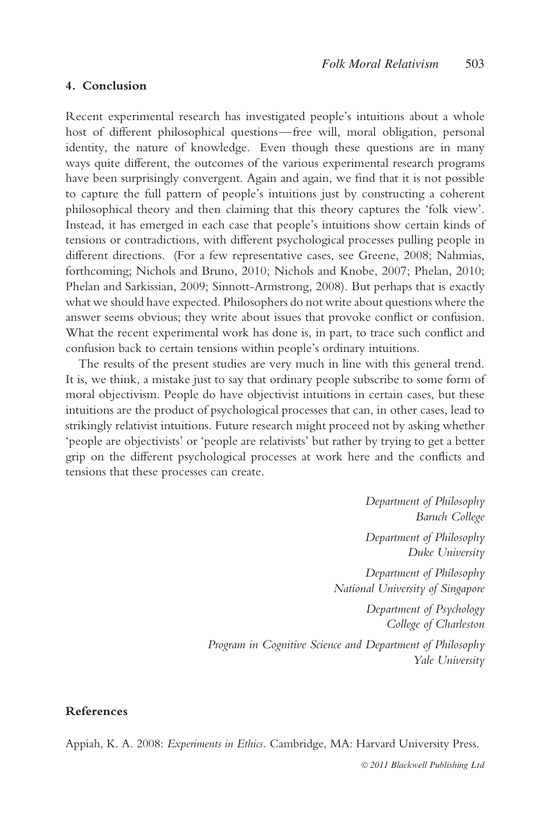## **4. Conclusion**

Recent experimental research has investigated people's intuitions about a whole host of different philosophical questions—free will, moral obligation, personal identity, the nature of knowledge. Even though these questions are in many ways quite different, the outcomes of the various experimental research programs have been surprisingly convergent. Again and again, we find that it is not possible to capture the full pattern of people's intuitions just by constructing a coherent philosophical theory and then claiming that this theory captures the 'folk view'. Instead, it has emerged in each case that people's intuitions show certain kinds of tensions or contradictions, with different psychological processes pulling people in different directions. (For a few representative cases, see Greene, 2008; Nahmias, forthcoming; Nichols and Bruno, 2010; Nichols and Knobe, 2007; Phelan, 2010; Phelan and Sarkissian, 2009; Sinnott-Armstrong, 2008). But perhaps that is exactly what we should have expected. Philosophers do not write about questions where the answer seems obvious; they write about issues that provoke conflict or confusion. What the recent experimental work has done is, in part, to trace such conflict and confusion back to certain tensions within people's ordinary intuitions.

The results of the present studies are very much in line with this general trend. It is, we think, a mistake just to say that ordinary people subscribe to some form of moral objectivism. People do have objectivist intuitions in certain cases, but these intuitions are the product of psychological processes that can, in other cases, lead to strikingly relativist intuitions. Future research might proceed not by asking whether 'people are objectivists' or 'people are relativists' but rather by trying to get a better grip on the different psychological processes at work here and the conflicts and tensions that these processes can create.

> *Department of Philosophy Baruch College Department of Philosophy Duke University Department of Philosophy National University of Singapore Department of Psychology*

*Program in Cognitive Science and Department of Philosophy Yale University*

## **References**

Appiah, K. A. 2008: *Experiments in Ethics.* Cambridge, MA: Harvard University Press.

*College of Charleston*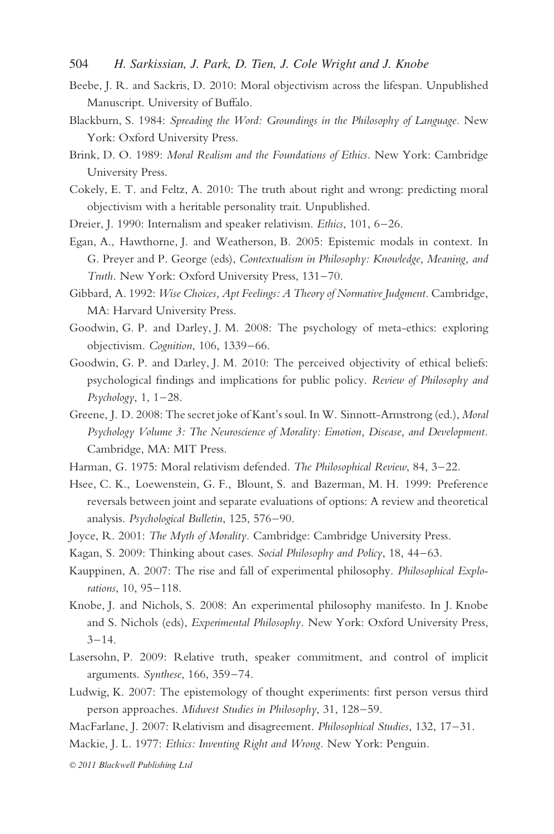- Beebe, J. R. and Sackris, D. 2010: Moral objectivism across the lifespan. Unpublished Manuscript. University of Buffalo.
- Blackburn, S. 1984: *Spreading the Word: Groundings in the Philosophy of Language.* New York: Oxford University Press.
- Brink, D. O. 1989: *Moral Realism and the Foundations of Ethics.* New York: Cambridge University Press.
- Cokely, E. T. and Feltz, A. 2010: The truth about right and wrong: predicting moral objectivism with a heritable personality trait. Unpublished.
- Dreier, J. 1990: Internalism and speaker relativism. *Ethics*, 101, 6–26.
- Egan, A., Hawthorne, J. and Weatherson, B. 2005: Epistemic modals in context. In G. Preyer and P. George (eds), *Contextualism in Philosophy: Knowledge, Meaning, and Truth.* New York: Oxford University Press, 131–70.
- Gibbard, A. 1992: *Wise Choices, Apt Feelings: A Theory of Normative Judgment.* Cambridge, MA: Harvard University Press.
- Goodwin, G. P. and Darley, J. M. 2008: The psychology of meta-ethics: exploring objectivism. *Cognition*, 106, 1339–66.
- Goodwin, G. P. and Darley, J. M. 2010: The perceived objectivity of ethical beliefs: psychological findings and implications for public policy. *Review of Philosophy and Psychology*, 1, 1–28.
- Greene, J. D. 2008: The secret joke of Kant's soul. In W. Sinnott-Armstrong (ed.), *Moral Psychology Volume 3: The Neuroscience of Morality: Emotion, Disease, and Development.* Cambridge, MA: MIT Press.
- Harman, G. 1975: Moral relativism defended. *The Philosophical Review*, 84, 3–22.
- Hsee, C. K., Loewenstein, G. F., Blount, S. and Bazerman, M. H. 1999: Preference reversals between joint and separate evaluations of options: A review and theoretical analysis. *Psychological Bulletin*, 125, 576–90.
- Joyce, R. 2001: *The Myth of Morality.* Cambridge: Cambridge University Press.
- Kagan, S. 2009: Thinking about cases. *Social Philosophy and Policy*, 18, 44–63.
- Kauppinen, A. 2007: The rise and fall of experimental philosophy. *Philosophical Explorations*, 10, 95–118.
- Knobe, J. and Nichols, S. 2008: An experimental philosophy manifesto. In J. Knobe and S. Nichols (eds), *Experimental Philosophy.* New York: Oxford University Press,  $3 - 14.$
- Lasersohn, P. 2009: Relative truth, speaker commitment, and control of implicit arguments. *Synthese*, 166, 359–74.
- Ludwig, K. 2007: The epistemology of thought experiments: first person versus third person approaches. *Midwest Studies in Philosophy*, 31, 128–59.

MacFarlane, J. 2007: Relativism and disagreement. *Philosophical Studies*, 132, 17–31.

Mackie, J. L. 1977: *Ethics: Inventing Right and Wrong.* New York: Penguin.

© *2011 Blackwell Publishing Ltd*